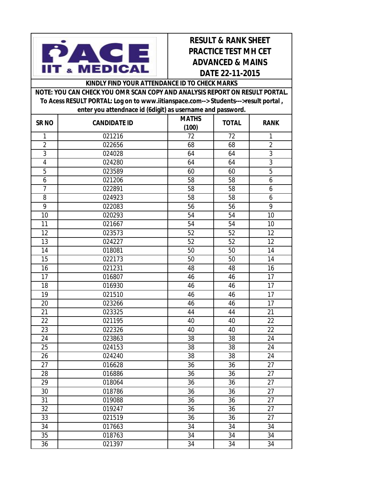

## **RESULT & RANK SHEET PRACTICE TEST MH CET ADVANCED & MAINS DATE 22-11-2015**

## **KINDLY FIND YOUR ATTENDANCE ID TO CHECK MARKS**

| NOTE: YOU CAN CHECK YOU OMR SCAN COPY AND ANALYSIS REPORT ON RESULT PORTAL.         |                 |              |                                    |  |  |  |  |
|-------------------------------------------------------------------------------------|-----------------|--------------|------------------------------------|--|--|--|--|
| To Acess RESULT PORTAL: Log on to www.iitianspace.com--> Students--->result portal, |                 |              |                                    |  |  |  |  |
| enter you attendnace id (6digit) as username and password.                          |                 |              |                                    |  |  |  |  |
| $\sim$ $\sim$                                                                       | ASSINING THE IN | <b>MATHS</b> | $\sim$ $\sim$ $\sim$ $\sim$ $\sim$ |  |  |  |  |

| SR <sub>NO</sub>        | <b>CANDIDATE ID</b> | <b>MATHS</b><br>(100) | <b>TOTAL</b> | <b>RANK</b>     |
|-------------------------|---------------------|-----------------------|--------------|-----------------|
| 1                       | 021216              | 72                    | 72           | 1               |
| $\overline{2}$          | 022656              | 68                    | 68           | $\overline{2}$  |
| $\overline{3}$          | 024028              | 64                    | 64           | $\sqrt{3}$      |
| $\overline{\mathbf{4}}$ | 024280              | 64                    | 64           | $\overline{3}$  |
| 5                       | 023589              | 60                    | 60           | 5               |
| 6                       | 021206              | 58                    | 58           | 6               |
| $\overline{7}$          | 022891              | 58                    | 58           | 6               |
| 8                       | 024923              | 58                    | 58           | 6               |
| 9                       | 022083              | 56                    | 56           | 9               |
| 10                      | 020293              | 54                    | 54           | 10              |
| 11                      | 021667              | 54                    | 54           | 10              |
| 12                      | 023573              | 52                    | 52           | 12              |
| 13                      | 024227              | 52                    | 52           | 12              |
| 14                      | 018081              | 50                    | 50           | 14              |
| 15                      | 022173              | 50                    | 50           | 14              |
| 16                      | 021231              | 48                    | 48           | 16              |
| 17                      | 016807              | 46                    | 46           | 17              |
| 18                      | 016930              | 46                    | 46           | 17              |
| 19                      | 021510              | 46                    | 46           | 17              |
| 20                      | 023266              | 46                    | 46           | 17              |
| 21                      | 023325              | 44                    | 44           | 21              |
| 22                      | 021195              | 40                    | 40           | 22              |
| 23                      | 022326              | 40                    | 40           | $\overline{22}$ |
| 24                      | 023863              | 38                    | 38           | 24              |
| 25                      | 024153              | 38                    | 38           | 24              |
| 26                      | 024240              | 38                    | 38           | 24              |
| 27                      | 016628              | 36                    | 36           | 27              |
| 28                      | 016886              | 36                    | 36           | 27              |
| 29                      | 018064              | 36                    | 36           | 27              |
| 30                      | 018786              | 36                    | 36           | 27              |
| 31                      | 019088              | 36                    | 36           | 27              |
| 32                      | 019247              | 36                    | 36           | 27              |
| 33                      | 021519              | 36                    | 36           | 27              |
| 34                      | 017663              | 34                    | 34           | 34              |
| 35                      | 018763              | 34                    | 34           | 34              |
| 36                      | 021397              | 34                    | 34           | 34              |